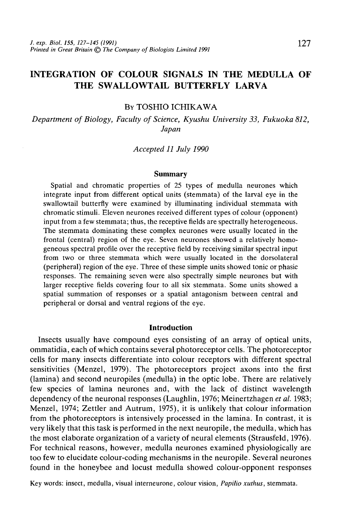# INTEGRATION OF COLOUR SIGNALS IN THE MEDULLA OF THE SWALLOWTAIL BUTTERFLY LARVA

### BY TOSHIO ICHIKAWA

*Department of Biology, Faculty of Science, Kyushu University 33, Fukuoka 812, Japan*

#### *Accepted 11 July 1990*

#### **Summary**

Spatial and chromatic properties of 25 types of medulla neurones which integrate input from different optical units (stemmata) of the larval eye in the swallowtail butterfly were examined by illuminating individual stemmata with chromatic stimuli. Eleven neurones received different types of colour (opponent) input from a few stemmata; thus, the receptive fields are spectrally heterogeneous. The stemmata dominating these complex neurones were usually located in the frontal (central) region of the eye. Seven neurones showed a relatively homogeneous spectral profile over the receptive field by receiving similar spectral input from two or three stemmata which were usually located in the dorsolateral (peripheral) region of the eye. Three of these simple units showed tonic or phasic responses. The remaining seven were also spectrally simple neurones but with larger receptive fields covering four to all six stemmata. Some units showed a spatial summation of responses or a spatial antagonism between central and peripheral or dorsal and ventral regions of the eye.

#### **Introduction**

Insects usually have compound eyes consisting of an array of optical units, ommatidia, each of which contains several photoreceptor cells. The photoreceptor cells for many insects differentiate into colour receptors with different spectral sensitivities (Menzel, 1979). The photoreceptors project axons into the first (lamina) and second neuropiles (medulla) in the optic lobe. There are relatively few species of lamina neurones and, with the lack of distinct wavelength dependency of the neuronal responses (Laughlin, 1976; Meinertzhagen *et al.* 1983; Menzel, 1974; Zettler and Autrum, 1975), it is unlikely that colour information from the photoreceptors is intensively processed in the lamina. In contrast, it is very likely that this task is performed in the next neuropile, the medulla, which has the most elaborate organization of a variety of neural elements (Strausfeld, 1976). For technical reasons, however, medulla neurones examined physiologically are too few to elucidate colour-coding mechanisms in the neuropile. Several neurones found in the honeybee and locust medulla showed colour-opponent responses

Key words: insect, medulla, visual interneurone, colour vision, *Papilio xuthus,* stemmata.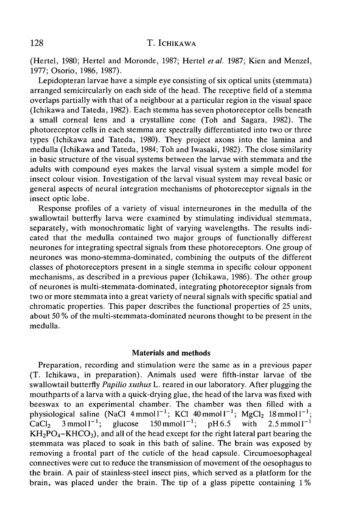(Hertel, 1980; Hertel and Moronde, 1987; Hertel *etal.* 1987; Kien and Menzel, 1977; Osorio, 1986, 1987).

Lepidopteran larvae have a simple eye consisting of six optical units (stemmata) arranged semicircularly on each side of the head. The receptive field of a stemma overlaps partially with that of a neighbour at a particular region in the visual space (Ichikawa and Tateda, 1982). Each stemma has seven photoreceptor cells beneath a small corneal lens and a crystalline cone (Toh and Sagara, 1982). The photoreceptor cells in each stemma are spectrally differentiated into two or three types (Ichikawa and Tateda, 1980). They project axons into the lamina and medulla (Ichikawa and Tateda, 1984; Toh and Iwasaki, 1982). The close similarity in basic structure of the visual systems between the larvae with stemmata and the adults with compound eyes makes the larval visual system a simple model for insect colour vision. Investigation of the larval visual system may reveal basic or general aspects of neural integration mechanisms of photoreceptor signals in the insect optic lobe.

Response profiles of a variety of visual interneurones in the medulla of the swallowtail butterfly larva were examined by stimulating individual stemmata, separately, with monochromatic light of varying wavelengths. The results indicated that the medulla contained two major groups of functionally different neurones for integrating spectral signals from these photoreceptors. One group of neurones was mono-stemma-dominated, combining the outputs of the different classes of photoreceptors present in a single stemma in specific colour opponent mechanisms, as described in a previous paper (Ichikawa, 1986). The other group of neurones is multi-stemmata-dominated, integrating photoreceptor signals from two or more stemmata into a great variety of neural signals with specific spatial and chromatic properties. This paper describes the functional properties of 25 units, about 50 % of the multi-stemmata-dominated neurons thought to be present in the medulla.

#### **Materials and methods**

Preparation, recording and stimulation were the same as in a previous paper (T. Ichikawa, in preparation). Animals used were fifth-instar larvae of the swallowtail butterfly *Papilio xuthus* L. reared in our laboratory. After plugging the mouthparts of a larva with a quick-drying glue, the head of the larva was fixed with beeswax to an experimental chamber. The chamber was then filled with a physiological saline (NaCl  $4$ mmoll<sup>-1</sup>; KCl  $40$ mmoll<sup>-1</sup>; MgCl<sub>2</sub> 18 mmoll<sup>-1</sup>; CaCl<sub>2</sub>  $\sqrt{3}$  mmol  $1^{-1}$ ; glucose  $150 \text{ mmol1}^{-1}$ ;  $pH6.5$  with  $2.5$  mmol<sup>1-1</sup>  $KH_2PO_4-KHCO_3$ , and all of the head except for the right lateral part bearing the stemmata was placed to soak in this bath of saline. The brain was exposed by removing a frontal part of the cuticle of the head capsule. Circumoesophageal connectives were cut to reduce the transmission of movement of the oesophagus to the brain. A pair of stainless-steel insect pins, which served as a platform for the brain, was placed under the brain. The tip of a glass pipette containing 1%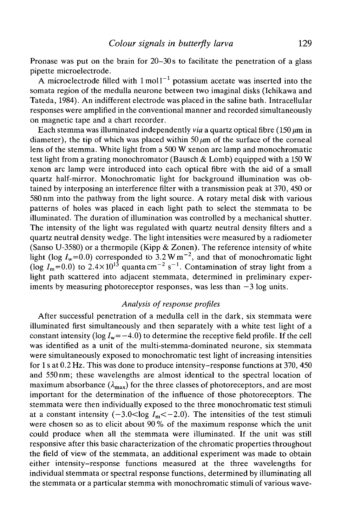Pronase was put on the brain for 20–30s to facilitate the penetration of a glass pipette microelectrode.

A microelectrode filled with  $1 \text{ mol}^{-1}$  potassium acetate was inserted into the somata region of the medulla neurone between two imaginal disks (Ichikawa and Tateda, 1984). An indifferent electrode was placed in the saline bath. Intracellular responses were amplified in the conventional manner and recorded simultaneously on magnetic tape and a chart recorder.

Each stemma was illuminated independently *via* a quartz optical fibre  $(150 \mu m)$  in diameter), the tip of which was placed within  $50 \mu m$  of the surface of the corneal lens of the stemma. White light from a 500 W xenon arc lamp and monochromatic test light from a grating monochromator (Bausch & Lomb) equipped with a 150 W xenon arc lamp were introduced into each optical fibre with the aid of a small quartz half-mirror. Monochromatic light for background illumination was obtained by interposing an interference filter with a transmission peak at 370, 450 or 580nm into the pathway from the light source. A rotary metal disk with various patterns of holes was placed in each light path to select the stemmata to be illuminated. The duration of illumination was controlled by a mechanical shutter. The intensity of the light was regulated with quartz neutral density filters and a quartz neutral density wedge. The light intensities were measured by a radiometer (Sanso U-3580) or a thermopile (Kipp & Zonen). The reference intensity of white light (log  $I_w$ =0.0) corresponded to 3.2 W m<sup>-2</sup>, and that of monochromatic light (log  $I_m$ =0.0) to 2.4×10<sup>13</sup> quanta cm<sup>-2</sup> s<sup>-1</sup>. Contamination of stray light from a light path scattered into adjacent stemmata, determined in preliminary experiments by measuring photoreceptor responses, was less than  $-3$  log units.

## *Analysis of response profiles*

After successful penetration of a medulla cell in the dark, six stemmata were illuminated first simultaneously and then separately with a white test light of a constant intensity ( $log I_w = -4.0$ ) to determine the receptive field profile. If the cell was identified as a unit of the multi-stemma-dominated neurone, six stemmata were simultaneously exposed to monochromatic test light of increasing intensities for 1 s at 0.2 Hz. This was done to produce intensity-response functions at 370, 450 and 550 nm; these wavelengths are almost identical to the spectral location of maximum absorbance  $(\lambda_{\text{max}})$  for the three classes of photoreceptors, and are most important for the determination of the influence of those photoreceptors. The stemmata were then individually exposed to the three monochromatic test stimuli at a constant intensity  $(-3.0. The intensities of the test stimuli$ were chosen so as to elicit about 90 % of the maximum response which the unit could produce when all the stemmata were illuminated. If the unit was still responsive after this basic characterization of the chromatic properties throughout the field of view of the stemmata, an additional experiment was made to obtain either intensity-response functions measured at the three wavelengths for individual stemmata or spectral response functions, determined by illuminating all the stemmata or a particular stemma with monochromatic stimuli of various wave-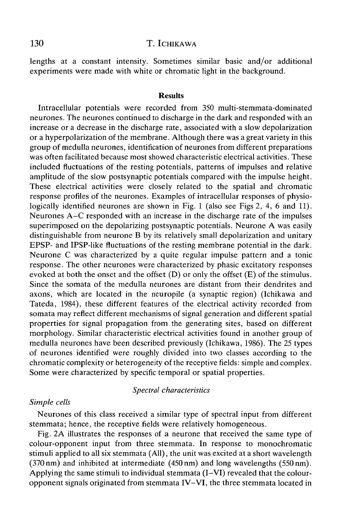lengths at a constant intensity. Sometimes similar basic and/or additional experiments were made with white or chromatic light in the background.

### **Results**

Intracellular potentials were recorded from 350 multi-stemmata-dominated neurones. The neurones continued to discharge in the dark and responded with an increase or a decrease in the discharge rate, associated with a slow depolarization or a hyperpolarization of the membrane. Although there was a great variety in this group of medulla neurones, identification of neurones from different preparations was often facilitated because most showed characteristic electrical activities. These included fluctuations of the resting potentials, patterns of impulses and relative amplitude of the slow postsynaptic potentials compared with the impulse height. These electrical activities were closely related to the spatial and chromatic response profiles of the neurones. Examples of intracellular responses of physiologically identified neurones are shown in Fig. 1 (also see Figs 2, 4, 6 and 11). Neurones A-C responded with an increase in the discharge rate of the impulses superimposed on the depolarizing postsynaptic potentials. Neurone A was easily distinguishable from neurone B by its relatively small depolarization and unitary EPSP- and IPSP-like fluctuations of the resting membrane potential in the dark. Neurone C was characterized by a quite regular impulse pattern and a tonic response. The other neurones were characterized by phasic excitatory responses evoked at both the onset and the offset (D) or only the offset (E) of the stimulus. Since the somata of the medulla neurones are distant from their dendrites and axons, which are located in the neuropile (a synaptic region) (Ichikawa and Tateda, 1984), these different features of the electrical activity recorded from somata may reflect different mechanisms of signal generation and different spatial properties for signal propagation from the generating sites, based on different morphology. Similar characteristic electrical activities found in another group of medulla neurones have been described previously (Ichikawa, 1986). The 25 types of neurones identified were roughly divided into two classes according to the chromatic complexity or heterogeneity of the receptive fields: simple and complex. Some were characterized by specific temporal or spatial properties.

### *Spectral characteristics*

### *Simple cells*

Neurones of this class received a similar type of spectral input from different stemmata; hence, the receptive fields were relatively homogeneous.

Fig. 2A illustrates the responses of a neurone that received the same type of colour-opponent input from three stemmata. In response to monochromatic stimuli applied to all six stemmata (All), the unit was.excited at a short wavelength (370 nm) and inhibited at intermediate (450 nm) and long wavelengths (550 nm). Applying the same stimuli to individual stemmata (I–VI) revealed that the colouropponent signals originated from stemmata IV-VI, the three stemmata located in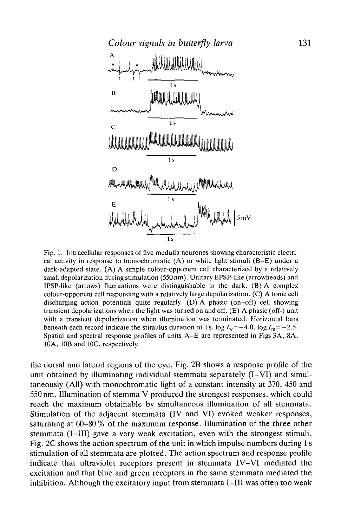

Fig. 1. Intracellular responses of five medulla neurones showing characteristic electrical activity in response to monochromatic (A) or white light stimuli (B-E) under a dark-adapted state. (A) A simple colour-opponent cell characterized by a relatively small depolarization during stimulation (550 nm). Unitary EPSP-like (arrowheads) and IPSP-like (arrows) fluctuations were distinguishable in the dark. (B) A complex colour-opponent cell responding with a relatively large depolarization. (C) A tonic cell discharging action potentials quite regularly. (D) A phasic (on-off) cell showing transient depolarizations when the light was turned on and off. (E) A phasic (off-) unit with a transient depolarization when illumination was terminated. Horizontal bars beneath each record indicate the stimulus duration of 1s. log  $I_w = -4.0$ . log  $I_m = -2.5$ . Spatial and spectral response profiles of units A-E are represented in Figs 3A, 8A, 10A, 10B and IOC, respectively.

the dorsal and lateral regions of the eye. Fig. 2B shows a response profile of the unit obtained by illuminating individual stemmata separately (I-VI) and simultaneously (All) with monochromatic light of a constant intensity at 370, 450 and 550nm. Illumination of stemma V produced the strongest responses, which could reach the maximum obtainable by simultaneous illumination of all stemmata. Stimulation of the adjacent stemmata (IV and VI) evoked weaker responses, saturating at 60-80% of the maximum response. Illumination of the three other stemmata (I—III) gave a very weak excitation, even with the strongest stimuli. Fig. 2C shows the action spectrum of the unit in which impulse numbers during 1 s stimulation of all stemmata are plotted. The action spectrum and response profile indicate that ultraviolet receptors present in stemmata IV-VI mediated the excitation and that blue and green receptors in the same stemmata mediated the inhibition. Although the excitatory input from stemmata I—III was often too weak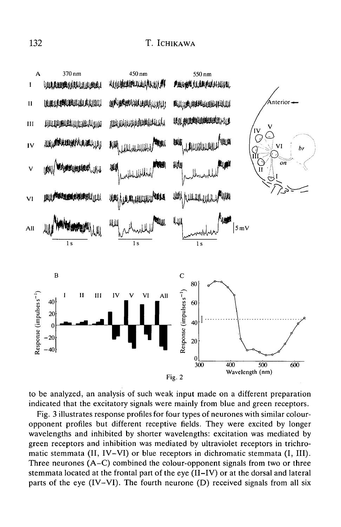

to be analyzed, an analysis of such weak input made on a different preparation indicated that the excitatory signals were mainly from blue and green receptors.

Fig. 3 illustrates response profiles for four types of neurones with similar colouropponent profiles but different receptive fields. They were excited by longer wavelengths and inhibited by shorter wavelengths: excitation was mediated by green receptors and inhibition was mediated by ultraviolet receptors in trichromatic stemmata (II, IV-VI) or blue receptors in dichromatic stemmata (I, III). Three neurones (A-C) combined the colour-opponent signals from two or three stemmata located at the frontal part of the eye (II-IV) or at the dorsal and lateral parts of the eye (IV-VI). The fourth neurone (D) received signals from all six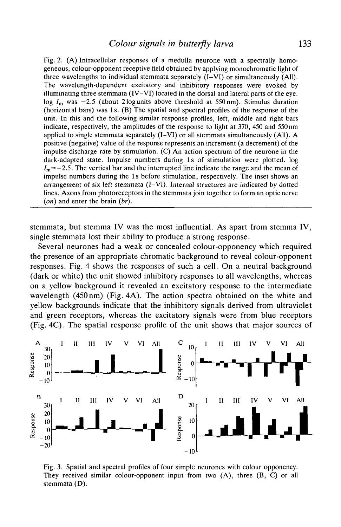Fig. 2. (A) Intracellular responses of a medulla neurone with a spectrally homogeneous, colour-opponent receptive field obtained by applying monochromatic light of three wavelengths to individual stemmata separately (I-VI) or simultaneously (All). The wavelength-dependent excitatory and inhibitory responses were evoked by illuminating three stemmata (IV-VI) located in the dorsal and lateral parts of the eye. log  $I_m$  was  $-2.5$  (about 2 log units above threshold at 550 nm). Stimulus duration (horizontal bars) was 1 s. (B) The spatial and spectral profiles of the response of the unit. In this and the following similar response profiles, left, middle and right bars indicate, respectively, the amplitudes of the response to light at 370, 450 and 550 nm applied to single stemmata separately  $(I-VI)$  or all stemmata simultaneously  $(AII)$ . A positive (negative) value of the response represents an increment (a decrement) of the impulse discharge rate by stimulation. (C) An action spectrum of the neurone in the dark-adapted state. Impulse numbers during Is of stimulation were plotted, log  $I_m = -2.5$ . The vertical bar and the interrupted line indicate the range and the mean of impulse numbers during the Is before stimulation, respectively. The inset shows an arrangement of six left stemmata  $(I-VI)$ . Internal structures are indicated by dotted lines. Axons from photoreceptors in the stemmata join together to form an optic nerve *(on)* and enter the brain *(br).*

stemmata, but stemma IV was the most influential. As apart from stemma IV, single stemmata lost their ability to produce a strong response.

Several neurones had a weak or concealed colour-opponency which required the presence of an appropriate chromatic background to reveal colour-opponent responses. Fig. 4 shows the responses of such a cell. On a neutral background (dark or white) the unit showed inhibitory responses to all wavelengths, whereas on a yellow background it revealed an excitatory response to the intermediate wavelength (450 nm) (Fig. 4A). The action spectra obtained on the white and yellow backgrounds indicate that the inhibitory signals derived from ultraviolet and green receptors, whereas the excitatory signals were from blue receptors (Fig. 4C). The spatial response profile of the unit shows that major sources of



Fig. 3. Spatial and spectral profiles of four simple neurones with colour opponency. They received similar colour-opponent input from two (A), three (B, C) or all stemmata (D).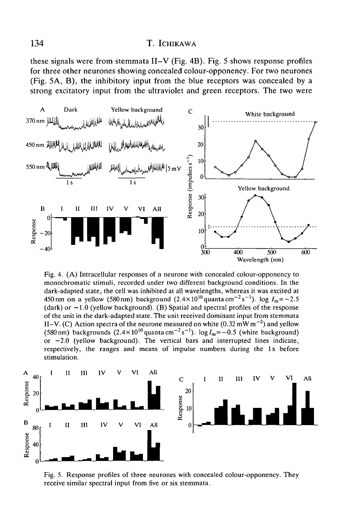these signals were from stemmata II-V (Fig. 4B). Fig. 5 shows response profiles for three other neurones showing concealed colour-opponency. For two neurones (Fig. 5A, B), the inhibitory input from the blue receptors was concealed by a strong excitatory input from the ultraviolet and green receptors. The two were



Fig. 4. (A) Intraeellular responses of a neurone with concealed colour-opponency to monochromatic stimuli, recorded under two different background conditions. In the dark-adapted state, the cell was inhibited at all wavelengths, whereas it was excited at 450 nm on a yellow (580 nm) background  $(2.4 \times 10^{10} \text{ quanta cm}^{-2} \text{s}^{-1})$ . log  $I_m = -2.5$ (dark) or  $-1.0$  (yellow background). (B) Spatial and spectral profiles of the response of the unit in the dark-adapted state. The unit received dominant input from stemmata II–V. (C) Action spectra of the neurone measured on white (0.32 mW m<sup>-2</sup>) and yellow (580 nm) backgrounds  $(2.4 \times 10^{10} \text{ quanta cm}^{-2} \text{s}^{-1})$ . log  $I_m = -0.5$  (white background) or  $-2.0$  (yellow background). The vertical bars and interrupted lines indicate, respectively, the ranges and means of impulse numbers during the Is before stimulation.



Fig. 5. Response profiles of three neurones with concealed colour-opponency. They receive similar spectral input from five or six stemmata.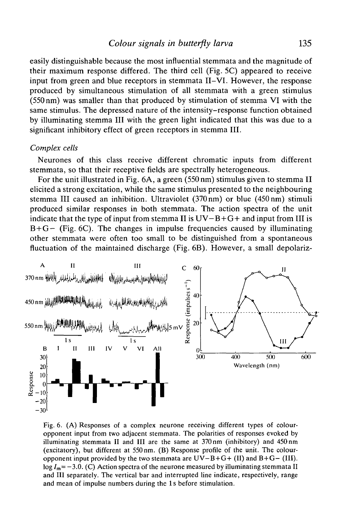easily distinguishable because the most influential stemmata and the magnitude of their maximum response differed. The third cell (Fig. 5C) appeared to receive input from green and blue receptors in stemmata II-VI. However, the response produced by simultaneous stimulation of all stemmata with a green stimulus (550 nm) was smaller than that produced by stimulation of stemma VI with the same stimulus. The depressed nature of the intensity-response function obtained by illuminating stemma III with the green light indicated that this was due to a significant inhibitory effect of green receptors in stemma III.

#### *Complex cells*

Neurones of this class receive different chromatic inputs from different stemmata, so that their receptive fields are spectrally heterogeneous.

For the unit illustrated in Fig. 6A, a green (550 nm) stimulus given to stemma II elicited a strong excitation, while the same stimulus presented to the neighbouring stemma III caused an inhibition. Ultraviolet (370nm) or blue (450nm) stimuli produced similar responses in both stemmata. The action spectra of the unit indicate that the type of input from stemma II is  $UV-B+G+$  and input from III is  $B+G-$  (Fig. 6C). The changes in impulse frequencies caused by illuminating other stemmata were often too small to be distinguished from a spontaneous fluctuation of the maintained discharge (Fig. 6B). However, a small depolariz-



Fig. 6. (A) Responses of a complex neurone receiving different types of colouropponent input from two adjacent stemmata. The polarities of responses evoked by illuminating stemmata II and III are the same at 370 nm (inhibitory) and 450 nm (excitatory), but different at 550 nm. (B) Response profile of the unit. The colouropponent input provided by the two stemmata are  $UV-B+G+ (II)$  and  $B+G- (III)$ .  $log I_m = -3.0$ . (C) Action spectra of the neurone measured by illuminating stemmata II and III separately. The vertical bar and interrupted line indicate, respectively, range and mean of impulse numbers during the Is before stimulation.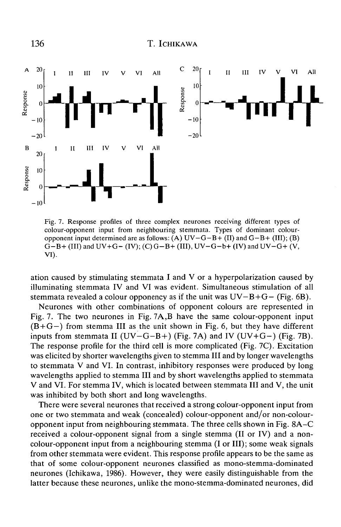

Fig. 7. Response profiles of three complex neurones receiving different types of colour-opponent input from neighbouring stemmata. Types of dominant colouropponent input determined are as follows: (A)  $UV-G-B+ (II)$  and  $G-B+ (III)$ ; (B)  $G-B+ (III)$  and  $UV+G- (IV); (C) G-B+ (III), UV-G-b+ (IV)$  and  $UV-G+ (V,$ VI).

ation caused by stimulating stemmata I and V or a hyperpolarization caused by illuminating stemmata IV and VI was evident. Simultaneous stimulation of all stemmata revealed a colour opponency as if the unit was  $UV-B+G-$  (Fig. 6B).

Neurones with other combinations of opponent colours are represented in Fig. 7. The two neurones in Fig. 7A,B have the same colour-opponent input  $(B+G-)$  from stemma III as the unit shown in Fig. 6, but they have different inputs from stemmata II ( $UV-G-B+$ ) (Fig. 7A) and IV ( $UV+G-$ ) (Fig. 7B). The response profile for the third cell is more complicated (Fig. 7C). Excitation was elicited by shorter wavelengths given to stemma III and by longer wavelengths to stemmata V and VI. In contrast, inhibitory responses were produced by long wavelengths applied to stemma III and by short wavelengths applied to stemmata V and VI. For stemma IV, which is located between stemmata III and V, the unit was inhibited by both short and long wavelengths.

There were several neurones that received a strong colour-opponent input from one or two stemmata and weak (concealed) colour-opponent and/or non-colouropponent input from neighbouring stemmata. The three cells shown in Fig. 8A-C received a colour-opponent signal from a single stemma (II or IV) and a noncolour-opponent input from a neighbouring stemma (I or III); some weak signals from other stemmata were evident. This response profile appears to be the same as that of some colour-opponent neurones classified as mono-stemma-dominated neurones (Ichikawa, 1986). However, they were easily distinguishable from the latter because these neurones, unlike the mono-stemma-dominated neurones, did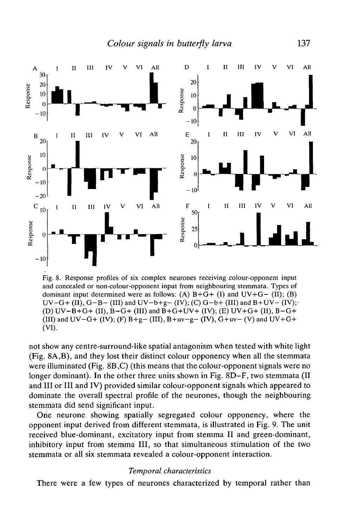

Fig. 8. Response profiles of six complex neurones receiving colour-opponent input and concealed or non-colour-opponent input from neighbouring stemmata. Types of dominant input determined were as follows: (A)  $B+G+ (I)$  and  $UV+G- (II)$ ; (B)  $UV-G+(II)$ ,  $G-B-(III)$  and  $UV-b+g-(IV)$ ; (C)  $G-b+(III)$  and  $B+UV-(IV)$ ; (D)  $UV-B+G+ (II)$ ,  $B-G+ (III)$  and  $B+G+UV+ (IV)$ ; (E)  $UV+G+ (II)$ ,  $B-G+$ (III) and  $UV-G+ (IV)$ ; (F)  $B+g- (III)$ ,  $B+uv-g- (IV)$ ,  $G+uv- (V)$  and  $UV+G+$ (VI).

not show any centre-surround-like spatial antagonism when tested with white light (Fig. 8A,B), and they lost their distinct colour opponency when all the stemmata were illuminated (Fig. 8B,C) (this means that the colour-opponent signals were no longer dominant). In the other three units shown in Fig. 8D-F, two stemmata (II and III or III and IV) provided similar colour-opponent signals which appeared to dominate the overall spectral profile of the neurones, though the neighbouring stemmata did send significant input.

One neurone showing spatially segregated colour opponency, where the opponent input derived from different stemmata, is illustrated in Fig. 9. The unit received blue-dominant, excitatory input from stemma II and green-dominant, inhibitory input from stemma III, so that simultaneous stimulation of the two stemmata or all six stemmata revealed a colour-opponent interaction.

#### *Temporal characteristics*

There were a few types of neurones characterized by temporal rather than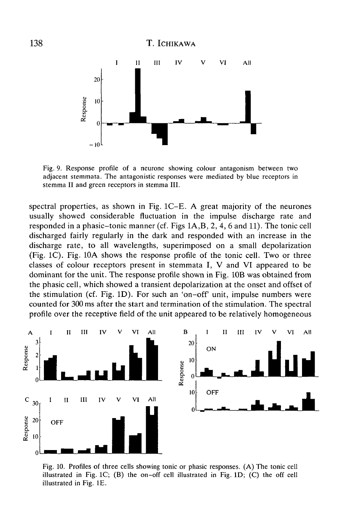

Fig. 9. Response profile of a neurone showing colour antagonism between two adjacent stemmata. The antagonistic responses were mediated by blue receptors in stemma II and green receptors in stemma III.

spectral properties, as shown in Fig. 1C-E. A great majority of the neurones usually showed considerable fluctuation in the impulse discharge rate and responded in a phasic-tonic manner (cf. Figs 1A,B, 2, 4, 6 and 11). The tonic cell discharged fairly regularly in the dark and responded with an increase in the discharge rate, to all wavelengths, superimposed on a small depolarization (Fig. 1C). Fig. 10A shows the response profile of the tonic cell. Two or three classes of colour receptors present in stemmata I, V and VI appeared to be dominant for the unit. The response profile shown in Fig. 10B was obtained from the phasic cell, which showed a transient depolarization at the onset and offset of the stimulation (cf. Fig. 1D). For such an 'on-off' unit, impulse numbers were counted for 300 ms after the start and termination of the stimulation. The spectral profile over the receptive field of the unit appeared to be relatively homogeneous



Fig. 10. Profiles of three cells showing tonic or phasic responses. (A) The tonic cell illustrated in Fig. 1C; (B) the on-off cell illustrated in Fig. ID; (C) the off cell illustrated in Fig. IE.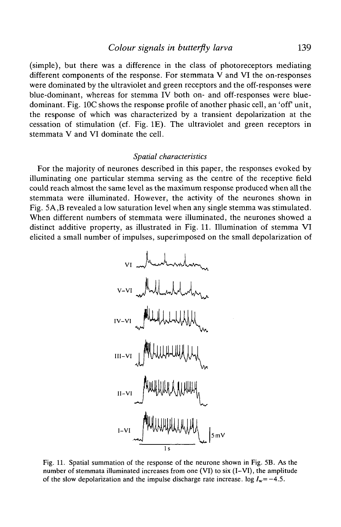### *Colour signals in butterfly larva* 139

(simple), but there was a difference in the class of photoreceptors mediating different components of the response. For stemmata V and VI the on-responses were dominated by the ultraviolet and green receptors and the off-responses were blue-dominant, whereas for stemma IV both on- and off-responses were bluedominant. Fig. 10C shows the response profile of another phasic cell, an 'off' unit, the response of which was characterized by a transient depolarization at the cessation of stimulation (cf. Fig. IE). The ultraviolet and green receptors in stemmata V and VI dominate the cell.

#### *Spatial characteristics*

For the majority of neurones described in this paper, the responses evoked by illuminating one particular stemma serving as the centre of the receptive field could reach almost the same level as the maximum response produced when all the stemmata were illuminated. However, the activity of the neurones shown in Fig. 5A,B revealed a low saturation level when any single stemma was stimulated. When different numbers of stemmata were illuminated, the neurones showed a distinct additive property, as illustrated in Fig. 11. Illumination of stemma VI elicited a small number of impulses, superimposed on the small depolarization of



Fig. 11. Spatial summation of the response of the neurone shown in Fig. 5B. As the number of stemmata illuminated increases from one (VI) to six (I-VI), the amplitude of the slow depolarization and the impulse discharge rate increase, log  $I_w = -4.5$ .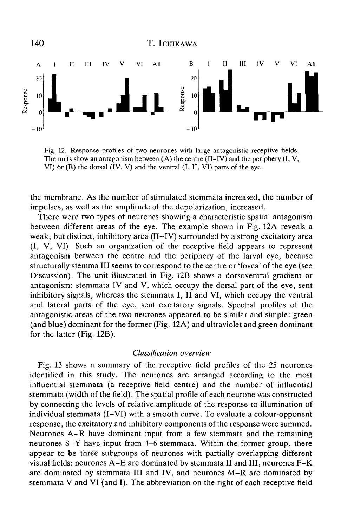

Fig. 12. Response profiles of two neurones with large antagonistic receptive fields. The units show an antagonism between  $(A)$  the centre  $(II-IV)$  and the periphery  $(I, V, I)$ VI) or (B) the dorsal (IV, V) and the ventral (I, II, VI) parts of the eye.

the membrane. As the number of stimulated stemmata increased, the number of impulses, as well as the amplitude of the depolarization, increased.

There were two types of neurones showing a characteristic spatial antagonism between different areas of the eye. The example shown in Fig. 12A reveals a weak, but distinct, inhibitory area (II–IV) surrounded by a strong excitatory area (I, V, VI). Such an organization of the receptive field appears to represent antagonism between the centre and the periphery of the larval eye, because structurally stemma III seems to correspond to the centre or 'fovea' of the eye (see Discussion). The unit illustrated in Fig. 12B shows a dorsoventral gradient or antagonism: stemmata IV and V, which occupy the dorsal part of the eye, sent inhibitory signals, whereas the stemmata I, II and VI, which occupy the ventral and lateral parts of the eye, sent excitatory signals. Spectral profiles of the antagonistic areas of the two neurones appeared to be similar and simple: green (and blue) dominant for the former (Fig. 12A) and ultraviolet and green dominant for the latter (Fig. 12B).

### *Classification overview*

Fig. 13 shows a summary of the receptive field profiles of the 25 neurones identified in this study. The neurones are arranged according to the most influential stemmata (a receptive field centre) and the number of influential stemmata (width of the field). The spatial profile of each neurone was constructed by connecting the levels of relative amplitude of the response to illumination of individual stemmata (I-VI) with a smooth curve. To evaluate a colour-opponent response, the excitatory and inhibitory components of the response were summed. Neurones A-R have dominant input from a few stemmata and the remaining neurones S-Y have input from 4-6 stemmata. Within the former group, there appear to be three subgroups of neurones with partially overlapping different visual fields: neurones A-E are dominated by stemmata II and III, neurones F-K are dominated by stemmata III and IV, and neurones M-R are dominated by stemmata V and VI (and I). The abbreviation on the right of each receptive field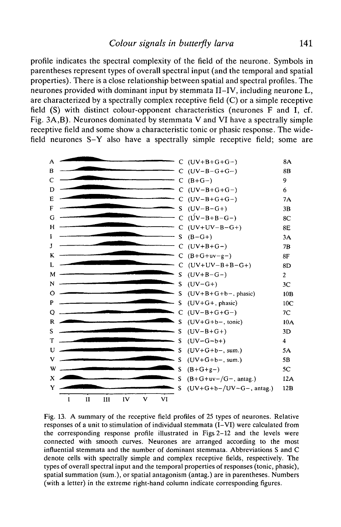profile indicates the spectral complexity of the field of the neurone. Symbols in parentheses represent types of overall spectral input (and the temporal and spatial properties). There is a close relationship between spatial and spectral profiles. The neurones provided with dominant input by stemmata II-IV, including neurone L, are characterized by a spectrally complex receptive field (C) or a simple receptive field (S) with distinct colour-opponent characteristics (neurones F and I, cf. Fig.  $3A,B$ ). Neurones dominated by stemmata V and VI have a spectrally simple receptive field and some show a characteristic tonic or phasic response. The widefield neurones S-Y also have a spectrally simple receptive field; some are



Fig. 13. A summary of the receptive field profiles of 25 types of neurones. Relative responses of a unit to stimulation of individual stemmata (I-VI) were calculated from the corresponding response profile illustrated in Figs 2-12 and the levels were connected with smooth curves. Neurones are arranged according to the most influential stemmata and the number of dominant stemmata. Abbreviations S and C denote cells with spectrally simple and complex receptive fields, respectively. The types of overall spectral input and the temporal properties of responses (tonic, phasic), spatial summation (sum.), or spatial antagonism (antag.) are in parentheses. Numbers (with a letter) in the extreme right-hand column indicate corresponding figures.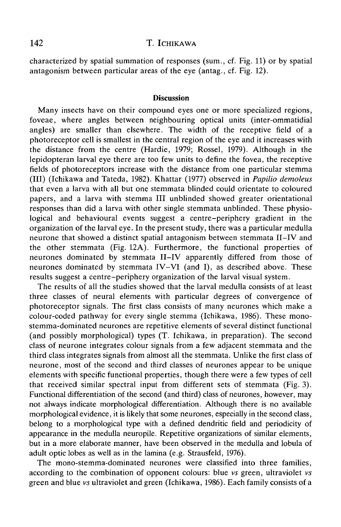characterized by spatial summation of responses (sum., cf. Fig. 11) or by spatial antagonism between particular areas of the eye (antag., cf. Fig. 12).

### **Discussion**

Many insects have on their compound eyes one or more specialized regions, foveae, where angles between neighbouring optical units (inter-ommatidial angles) are smaller than elsewhere. The width of the receptive field of a photoreceptor cell is smallest in the central region of the eye and it increases with the distance from the centre (Hardie, 1979; Rossel, 1979). Although in the lepidopteran larval eye there are too few units to define the fovea, the receptive fields of photoreceptors increase with the distance from one particular stemma (III) (Ichikawa and Tateda, 1982). Khattar (1977) observed in *Papilio demoleus* that even a larva with all but one stemmata blinded could orientate to coloured papers, and a larva with stemma III unblinded showed greater orientational responses than did a larva with other single stemmata unblinded. These physiological and behavioural events suggest a centre-periphery gradient in the organization of the larval eye. In the present study, there was a particular medulla neurone that showed a distinct spatial antagonism between stemmata II-IV and the other stemmata (Fig. 12A). Furthermore, the functional properties of neurones dominated by stemmata II-IV apparently differed from those of neurones dominated by stemmata IV-VI (and I), as described above. These results suggest a centre-periphery organization of the larval visual system.

The results of all the studies showed that the larval medulla consists of at least three classes of neural elements with particular degrees of convergence of photoreceptor signals. The first class consists of many neurones which make a colour-coded pathway for every single stemma (Ichikawa, 1986). These monostemma-dominated neurones are repetitive elements of several distinct functional (and possibly morphological) types (T. Ichikawa, in preparation). The second class of neurone integrates colour signals from a few adjacent stemmata and the third class integrates signals from almost all the stemmata. Unlike the first class of neurone, most of the second and third classes of neurones appear to be unique elements with specific functional properties, though there were a few types of cell that received similar spectral input from different sets of stemmata (Fig. 3). Functional differentiation of the second (and third) class of neurones, however, may not always indicate morphological differentiation. Although there is no available morphological evidence, it is likely that some neurones, especially in the second class, belong to a morphological type with a defined dendritic field and periodicity of appearance in the medulla neuropile. Repetitive organizations of similar elements, but in a more elaborate manner, have been observed in the medulla and lobula of adult optic lobes as well as in the lamina (e.g. Strausfeld, 1976).

The mono-stemma-dominated neurones were classified into three families, according to the combination of opponent colours: blue *vs* green, ultraviolet *vs* green and blue *vs* ultraviolet and green (Ichikawa, 1986). Each family consists of a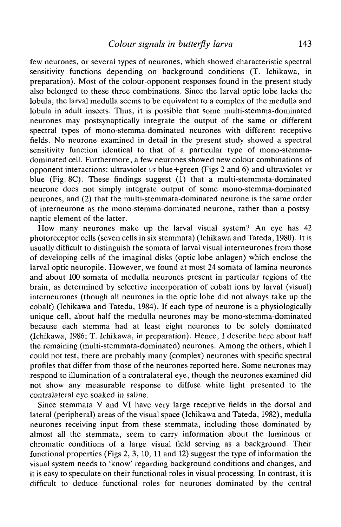few neurones, or several types of neurones, which showed characteristic spectral sensitivity functions depending on background conditions (T. Ichikawa, in preparation). Most of the colour-opponent responses found in the present study also belonged to these three combinations. Since the larval optic lobe lacks the lobula, the larval medulla seems to be equivalent to a complex of the medulla and lobula in adult insects. Thus, it is possible that some multi-stemma-dominated neurones may postsynaptically integrate the output of the same or different spectral types of mono-stemma-dominated neurones with different receptive fields. No neurone examined in detail in the present study showed a spectral sensitivity function identical to that of a particular type of mono-stemmadominated cell. Furthermore, a few neurones showed new colour combinations of opponent interactions: ultraviolet *vs* blue+green (Figs 2 and 6) and ultraviolet *vs* blue (Fig. 8C). These findings suggest (1) that a multi-stemmata-dominated neurone does not simply integrate output of some mono-stemma-dominated neurones, and (2) that the multi-stemmata-dominated neurone is the same order of interneurone as the mono-stemma-dominated neurone, rather than a postsynaptic element of the latter.

How many neurones make up the larval visual system? An eye has 42 photoreceptor cells (seven cells in six stemmata) (Ichikawa and Tateda, 1980). It is usually difficult to distinguish the somata of larval visual interneurones from those of developing cells of the imaginal disks (optic lobe anlagen) which enclose the larval optic neuropile. However, we found at most 24 somata of lamina neurones and about 100 somata of medulla neurones present in particular regions of the brain, as determined by selective incorporation of cobalt ions by larval (visual) interneurones (though all neurones in the optic lobe did not always take up the cobalt) (Ichikawa and Tateda, 1984). If each type of neurone is a physiologically unique cell, about half the medulla neurones may be mono-stemma-dominated because each stemma had at least eight neurones to be solely dominated (Ichikawa, 1986; T. Ichikawa, in preparation). Hence, I describe here about half the remaining (multi-stemmata-dominated) neurones. Among the others, which I could not test, there are probably many (complex) neurones with specific spectral profiles that differ from those of the neurones reported here. Some neurones may respond to illumination of a contralateral eye, though the neurones examined did not show any measurable response to diffuse white light presented to the contralateral eye soaked in saline.

Since stemmata V and VI have very large receptive fields in the dorsal and lateral (peripheral) areas of the visual space (Ichikawa and Tateda, 1982), medulla neurones receiving input from these stemmata, including those dominated by almost all the stemmata, seem to carry information about the luminous or chromatic conditions of a large visual field serving as a background. Their functional properties (Figs 2, 3, 10, 11 and 12) suggest the type of information the visual system needs to 'know' regarding background conditions and changes, and it is easy to speculate on their functional roles in visual processing. In contrast, it is difficult to deduce functional roles for neurones dominated by the central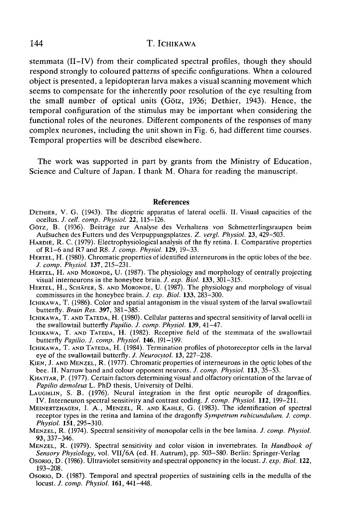stemmata (II-IV) from their complicated spectral profiles, though they should respond strongly to coloured patterns of specific configurations. When a coloured object is presented, a lepidopteran larva makes a visual scanning movement which seems to compensate for the inherently poor resolution of the eye resulting from the small number of optical units (Gotz, 1936; Dethier, 1943). Hence, the temporal configuration of the stimulus may be important when considering the functional roles of the neurones. Different components of the responses of many complex neurones, including the unit shown in Fig. 6, had different time courses. Temporal properties will be described elsewhere.

The work was supported in part by grants from the Ministry of Education, Science and Culture of Japan. I thank M. Ohara for reading the manuscript.

#### References

- DETHIER, V. G. (1943). The dioptric apparatus of lateral ocelli. II. Visual capacities of the ocellus. J. cell. comp. Physiol. 22, 115-126.
- Görz, B. (1936). Beiträge zur Analyse des Verhaltens von Schmetterlingsraupen beim<br>Aufsuchen des Futters und des Verpuppungsplatzes. Z. vergl. Physiol. 23, 429–503.
- HARDIE, R. C. (1979). Electrophysiological analysis of the fly retina. I. Comparative properties of R1–6 and R7 and R8. J. comp. Physiol. **129**, 19–33.
- HERTEL, H. (1980). Chromatic properties of identified interneurons in the optic lobes of the bee.<br>*J. comp. Physiol.* **137**, 215-231.
- *HERTEL, H. AND MORONDE, U. (1987). The physiology and morphology of centrally projecting visual interneurons in the honeybee brain. <i>J. exp. Biol.* **133**, 301–315.
- HERTEL, H., SCHÄFER, S. AND MORONDE, U. (1987). The physiology and morphology of visual commissures in the honeybee brain. *J. exp. Biol.* **133**, 283–300.
- ICHIKAWA, T. (1986). Color and spatial antagonism in the visual system of the larval swallowtail<br>butterfly. *Brain Res*. 397, 381-385.
- ICHIKAWA, T. AND TATEDA, H. (1980). Cellular patterns and spectral sensitivity of larval ocelli in the swallowtail butterfly *Papilio. J. comp. Physiol.* 139, 41–47.
- ICHIKAWA, T. AND TATEDA, H. (1982). Receptive field of the stemmata of the swallowtail butterfly *Papilio. J. comp. Physiol.* **146**, 191-199.
- ICHIKAWA, T. AND TATEDA, H. (1984). Termination profiles of photoreceptor cells in the larval eye of the swallowtail butterfly. *J. Neurocytol.* 13, 227–238.
- KIEN, J. AND MENZEL, R. (1977). Chromatic properties of interneurons in the optic lobes of the bee. II. Narrow band and colour opponent neurons. *J. comp. Physiol.* **113**, 35–53.
- KHATTAR, P. (1977). Certain factors determining visual and olfactory orientation of the larvae of *Papilio demoleus* L. PhD thesis, University of Delhi.
- LAUGHLIN, S. B. (1976). Neural integration in the first optic neuropile of dragonflies. IV. Interneuron spectral sensitivity and contrast coding. *J. comp. Physiol.* **112,** 199-211.
- MEINERTZHAGEN, I. A., MENZEL, R. AND KAHLE, G. (1983). The identification of spectral receptor types in the retina and lamina of the dragonfly *Sympetrum rubicundulum. J. comp.*<br>*Physiol.* 151, 295–310.
- *Physiol.* **151,** 295-310. MENZEL, R. (1974). Spectral sensitivity of monopolar cells in the bee lamina. *J. comp. Physiol.*
- **93,** 337-346. MENZEL, R. (1979). Spectral sensitivity and color vision in invertebrates. In *Handbook of Sensory Physiology,* vol. VII/6A (ed. H. Autrum), pp. 503-580. Berlin: Springer-Verlag
- OSORIO, D. (1986). Ultraviolet sensitivity and spectral opponency in the locust. *J. exp. Biol.* **122,**
- Osorio, D. (1987). Temporal and spectral properties of sustaining cells in the medulla of the locust. *J. comp. Physiol.* **161,** 441-448.